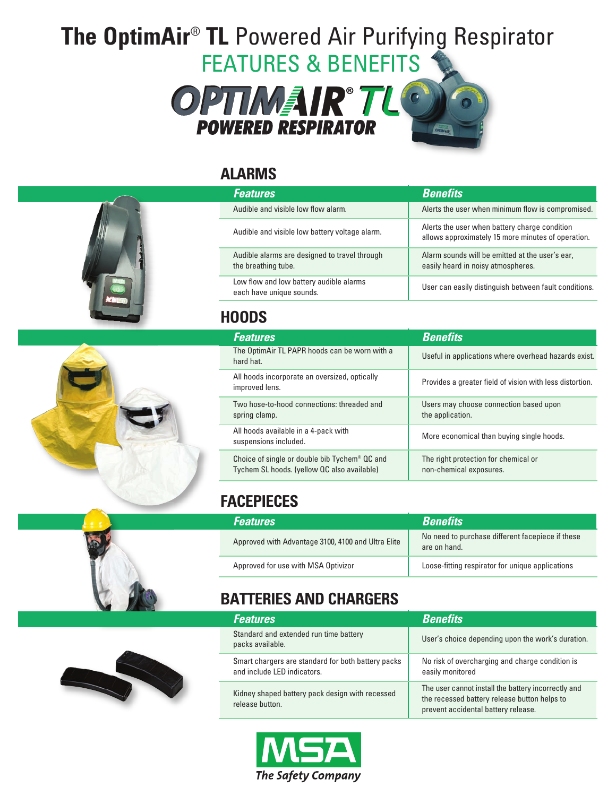# **The OptimAir**® **TL** Powered Air Purifying Respirator FEATURES & BENEFITS



### **ALARMS**







#### **HOODS**

| <b>Features</b>                                                                                          | <b>Benefits</b>                                                 |
|----------------------------------------------------------------------------------------------------------|-----------------------------------------------------------------|
| The OptimAir TL PAPR hoods can be worn with a<br>hard hat.                                               | Useful in applications where overhead hazards exist.            |
| All hoods incorporate an oversized, optically<br>improved lens.                                          | Provides a greater field of vision with less distortion.        |
| Two hose-to-hood connections: threaded and<br>spring clamp.                                              | Users may choose connection based upon<br>the application.      |
| All hoods available in a 4-pack with<br>suspensions included.                                            | More economical than buying single hoods.                       |
| Choice of single or double bib Tychem <sup>®</sup> QC and<br>Tychem SL hoods. (yellow QC also available) | The right protection for chemical or<br>non-chemical exposures. |

# **FACEPIECES**

| <b>Features</b>                                    | <b>Benefits</b>                                                  |
|----------------------------------------------------|------------------------------------------------------------------|
| Approved with Advantage 3100, 4100 and Ultra Elite | No need to purchase different facepiece if these<br>are on hand. |
| Approved for use with MSA Optivizor                | Loose-fitting respirator for unique applications                 |

# **BATTERIES AND CHARGERS**

| <b>Features</b>                                                                   | <b>Benefits</b>                                                                                                                            |
|-----------------------------------------------------------------------------------|--------------------------------------------------------------------------------------------------------------------------------------------|
| Standard and extended run time battery<br>packs available.                        | User's choice depending upon the work's duration.                                                                                          |
| Smart chargers are standard for both battery packs<br>and include LED indicators. | No risk of overcharging and charge condition is<br>easily monitored                                                                        |
| Kidney shaped battery pack design with recessed<br>release button.                | The user cannot install the battery incorrectly and<br>the recessed battery release button helps to<br>prevent accidental battery release. |